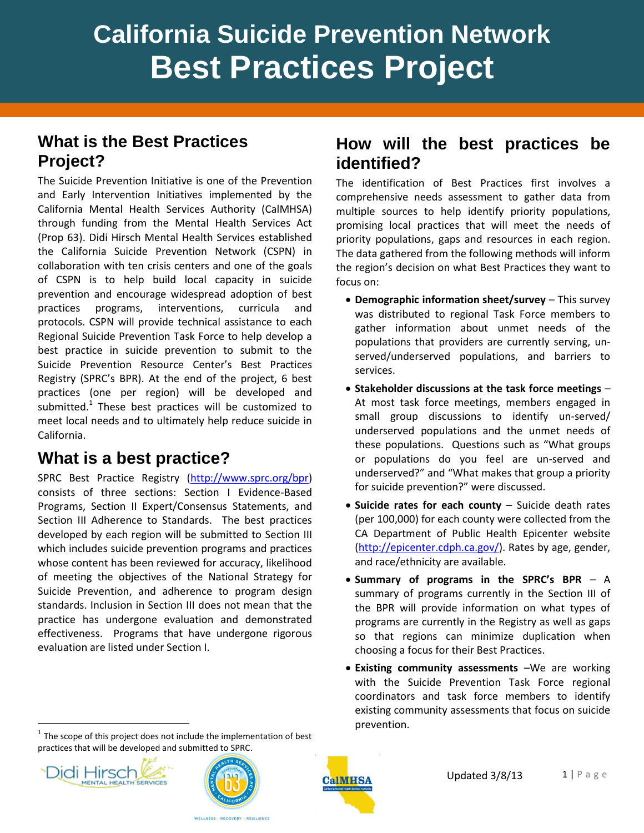# **California Suicide Prevention Network Best Practices Project**

#### **What is the Best Practices Project?**

The Suicide Prevention Initiative is one of the Prevention and Early Intervention Initiatives implemented by the California Mental Health Services Authority (CalMHSA) through funding from the Mental Health Services Act (Prop 63). Didi Hirsch Mental Health Services established the California Suicide Prevention Network (CSPN) in collaboration with ten crisis centers and one of the goals of CSPN is to help build local capacity in suicide prevention and encourage widespread adoption of best practices programs, interventions, curricula protocols. CSPN will provide technical assistance to each Regional Suicide Prevention Task Force to help develop a best practice in suicide prevention to submit to the Suicide Prevention Resource Center's Best Practices Registry (SPRC's BPR). At the end of the project, 6 best practices (one per region) will be developed and submitted. $1$  These best practices will be customized to meet local needs and to ultimately help reduce suicide in California.

## **What is a best practice?**

SPRC Best Practice Registry [\(http://www.sprc.org/bpr\)](http://www.sprc.org/bpr) consists of three sections: Section I Evidence-Based Programs, Section II Expert/Consensus Statements, and Section III Adherence to Standards. The best practices developed by each region will be submitted to Section III which includes suicide prevention programs and practices whose content has been reviewed for accuracy, likelihood of meeting the objectives of the National Strategy for Suicide Prevention, and adherence to program design standards. Inclusion in Section III does not mean that the practice has undergone evaluation and demonstrated effectiveness. Programs that have undergone rigorous evaluation are listed under Section I.

 $<sup>1</sup>$  The scope of this project does not include the implementation of best</sup>

#### **How will the best practices be identified?**

The identification of Best Practices first involves a comprehensive needs assessment to gather data from multiple sources to help identify priority populations, promising local practices that will meet the needs of priority populations, gaps and resources in each region. The data gathered from the following methods will inform the region's decision on what Best Practices they want to focus on:

- **Demographic information sheet/survey** This survey was distributed to regional Task Force members to gather information about unmet needs of the populations that providers are currently serving, unserved/underserved populations, and barriers to services.
- **Stakeholder discussions at the task force meetings** At most task force meetings, members engaged in small group discussions to identify un-served/ underserved populations and the unmet needs of these populations. Questions such as "What groups or populations do you feel are un-served and underserved?" and "What makes that group a priority for suicide prevention?" were discussed.
- **Suicide rates for each county** Suicide death rates (per 100,000) for each county were collected from the CA Department of Public Health Epicenter website [\(http://epicenter.cdph.ca.gov/\)](http://epicenter.cdph.ca.gov/). Rates by age, gender, and race/ethnicity are available.
- **Summary of programs in the SPRC's BPR** A summary of programs currently in the Section III of the BPR will provide information on what types of programs are currently in the Registry as well as gaps so that regions can minimize duplication when choosing a focus for their Best Practices.
- **Existing community assessments** –We are working with the Suicide Prevention Task Force regional coordinators and task force members to identify existing community assessments that focus on suicide prevention.



 $\overline{a}$